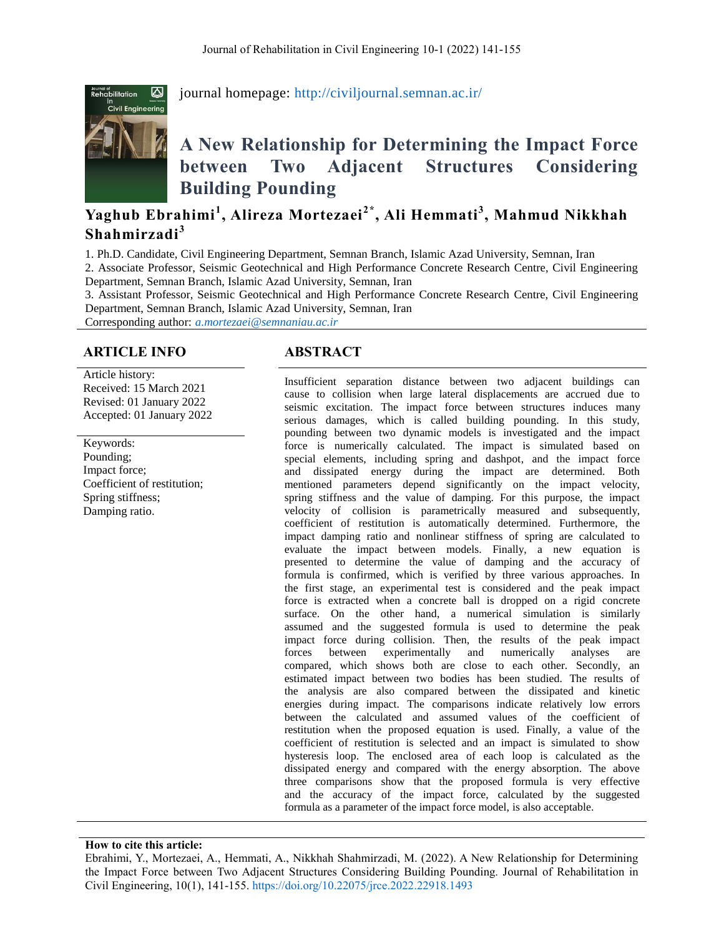

journal homepage:<http://civiljournal.semnan.ac.ir/>

# **A New Relationship for Determining the Impact Force between Two Adjacent Structures Considering Building Pounding**

# **Yaghub Ebrahimi<sup>1</sup> , Alireza Mortezaei2\* , Ali Hemmati<sup>3</sup> , Mahmud Nikkhah Shahmirzadi<sup>3</sup>**

1. Ph.D. Candidate, Civil Engineering Department, Semnan Branch, Islamic Azad University, Semnan, Iran 2. Associate Professor, Seismic Geotechnical and High Performance Concrete Research Centre, Civil Engineering Department, Semnan Branch, Islamic Azad University, Semnan, Iran

3. Assistant Professor, Seismic Geotechnical and High Performance Concrete Research Centre, Civil Engineering Department, Semnan Branch, Islamic Azad University, Semnan, Iran

Corresponding author: *[a.mortezaei@semnaniau.ac.ir](mailto:a.mortezaei@semnaniau.ac.ir)*

# **ARTICLE INFO ABSTRACT**

Article history: Received: 15 March 2021 Revised: 01 January 2022 Accepted: 01 January 2022

Keywords: Pounding; Impact force; Coefficient of restitution; Spring stiffness; Damping ratio.

Insufficient separation distance between two adjacent buildings can cause to collision when large lateral displacements are accrued due to seismic excitation. The impact force between structures induces many serious damages, which is called building pounding. In this study, pounding between two dynamic models is investigated and the impact force is numerically calculated. The impact is simulated based on special elements, including spring and dashpot, and the impact force and dissipated energy during the impact are determined. Both mentioned parameters depend significantly on the impact velocity, spring stiffness and the value of damping. For this purpose, the impact velocity of collision is parametrically measured and subsequently, coefficient of restitution is automatically determined. Furthermore, the impact damping ratio and nonlinear stiffness of spring are calculated to evaluate the impact between models. Finally, a new equation is presented to determine the value of damping and the accuracy of formula is confirmed, which is verified by three various approaches. In the first stage, an experimental test is considered and the peak impact force is extracted when a concrete ball is dropped on a rigid concrete surface. On the other hand, a numerical simulation is similarly assumed and the suggested formula is used to determine the peak impact force during collision. Then, the results of the peak impact forces between experimentally and numerically analyses are compared, which shows both are close to each other. Secondly, an estimated impact between two bodies has been studied. The results of the analysis are also compared between the dissipated and kinetic energies during impact. The comparisons indicate relatively low errors between the calculated and assumed values of the coefficient of restitution when the proposed equation is used. Finally, a value of the coefficient of restitution is selected and an impact is simulated to show hysteresis loop. The enclosed area of each loop is calculated as the dissipated energy and compared with the energy absorption. The above three comparisons show that the proposed formula is very effective and the accuracy of the impact force, calculated by the suggested formula as a parameter of the impact force model, is also acceptable.

#### **How to cite this article:**

Ebrahimi, Y., Mortezaei, A., Hemmati, A., Nikkhah Shahmirzadi, M. (2022). A New Relationship for Determining the Impact Force between Two Adjacent Structures Considering Building Pounding. Journal of Rehabilitation in Civil Engineering, 10(1), 141-155.<https://doi.org/10.22075/jrce.2022.22918.1493>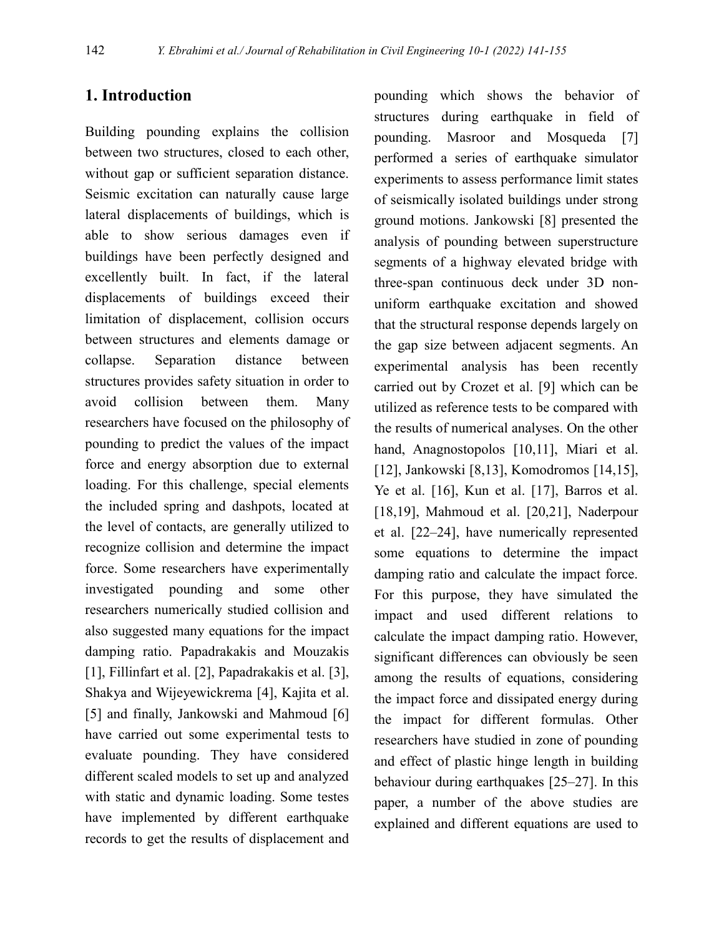# **1. Introduction**

Building pounding explains the collision between two structures, closed to each other, without gap or sufficient separation distance. Seismic excitation can naturally cause large lateral displacements of buildings, which is able to show serious damages even if buildings have been perfectly designed and excellently built. In fact, if the lateral displacements of buildings exceed their limitation of displacement, collision occurs between structures and elements damage or collapse. Separation distance between structures provides safety situation in order to avoid collision between them. Many researchers have focused on the philosophy of pounding to predict the values of the impact force and energy absorption due to external loading. For this challenge, special elements the included spring and dashpots, located at the level of contacts, are generally utilized to recognize collision and determine the impact force. Some researchers have experimentally investigated pounding and some other researchers numerically studied collision and also suggested many equations for the impact damping ratio. Papadrakakis and Mouzakis [1], Fillinfart et al. [2], Papadrakakis et al. [3], Shakya and Wijeyewickrema [4], Kajita et al. [5] and finally, Jankowski and Mahmoud [6] have carried out some experimental tests to evaluate pounding. They have considered different scaled models to set up and analyzed with static and dynamic loading. Some testes have implemented by different earthquake records to get the results of displacement and

pounding which shows the behavior of structures during earthquake in field of pounding. Masroor and Mosqueda [7] performed a series of earthquake simulator experiments to assess performance limit states of seismically isolated buildings under strong ground motions. Jankowski [8] presented the analysis of pounding between superstructure segments of a highway elevated bridge with three-span continuous deck under 3D nonuniform earthquake excitation and showed that the structural response depends largely on the gap size between adjacent segments. An experimental analysis has been recently carried out by Crozet et al. [9] which can be utilized as reference tests to be compared with the results of numerical analyses. On the other hand, Anagnostopolos [10,11], Miari et al. [12], Jankowski [8,13], Komodromos [14,15], Ye et al. [16], Kun et al. [17], Barros et al. [18,19], Mahmoud et al. [20,21], Naderpour et al. [22–24], have numerically represented some equations to determine the impact damping ratio and calculate the impact force. For this purpose, they have simulated the impact and used different relations to calculate the impact damping ratio. However, significant differences can obviously be seen among the results of equations, considering the impact force and dissipated energy during the impact for different formulas. Other researchers have studied in zone of pounding and effect of plastic hinge length in building behaviour during earthquakes [25–27]. In this paper, a number of the above studies are explained and different equations are used to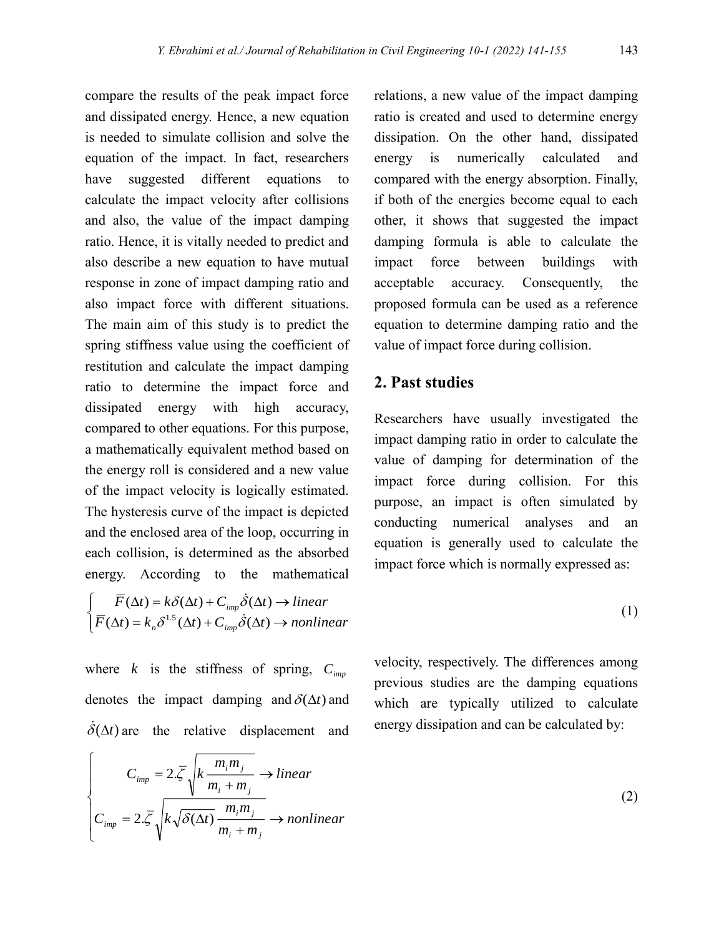compare the results of the peak impact force and dissipated energy. Hence, a new equation is needed to simulate collision and solve the equation of the impact. In fact, researchers have suggested different equations to calculate the impact velocity after collisions and also, the value of the impact damping ratio. Hence, it is vitally needed to predict and also describe a new equation to have mutual response in zone of impact damping ratio and also impact force with different situations. The main aim of this study is to predict the spring stiffness value using the coefficient of restitution and calculate the impact damping ratio to determine the impact force and dissipated energy with high accuracy, compared to other equations. For this purpose, a mathematically equivalent method based on the energy roll is considered and a new value of the impact velocity is logically estimated. The hysteresis curve of the impact is depicted and the enclosed area of the loop, occurring in each collision, is determined as the absorbed energy. According to the mathematical

l  $\mathsf{I}$ ∤ ſ  $\Delta t$  =  $k \delta^{1.5}(\Delta t)$  +  $C \delta(\Delta t)$   $\rightarrow$  $\Delta t$ ) =  $k\delta(\Delta t)$  + C  $\delta(\Delta t)$   $\rightarrow$  $F(\Delta t) = k \delta^{1.5}(\Delta t) + C \quad \delta(\Delta t) \rightarrow$  nonlinear  $F(\Delta t) = k\delta(\Delta t) + C \quad \delta(\Delta t) \rightarrow linear$  $n^{\mathcal{O}}$  ( $\Delta \iota$ )  $\sim$  *imp imp*  $(\Delta t) = k_n \delta^{1.5} (\Delta t) + C_{imn} \delta(\Delta t)$  $(\Delta t) = k \delta(\Delta t) + C_{imn} \delta(\Delta t)$  $\delta^{1.5}(\Delta t) + C$ .  $\dot{\delta}$  $\delta(\Delta t) + C_{imp}\delta$ <br> $\delta(\Delta t) + C \delta$ :

where *k* is the stiffness of spring, *<sup>C</sup>imp* denotes the impact damping and  $\delta(\Delta t)$  and  $\dot{\delta}(\Delta t)$  are the relative displacement and

 $\epsilon$ 

relations, a new value of the impact damping ratio is created and used to determine energy dissipation. On the other hand, dissipated energy is numerically calculated and compared with the energy absorption. Finally, if both of the energies become equal to each other, it shows that suggested the impact damping formula is able to calculate the impact force between buildings with acceptable accuracy. Consequently, the proposed formula can be used as a reference equation to determine damping ratio and the value of impact force during collision.

# **2. Past studies**

Researchers have usually investigated the impact damping ratio in order to calculate the value of damping for determination of the impact force during collision. For this purpose, an impact is often simulated by conducting numerical analyses and an equation is generally used to calculate the impact force which is normally expressed as:

$$
(1)
$$

velocity, respectively. The differences among previous studies are the damping equations which are typically utilized to calculate energy dissipation and can be calculated by:

$$
C_{imp} = 2.\overline{\zeta} \sqrt{k \frac{m_i m_j}{m_i + m_j}} \rightarrow linear
$$
  
\n
$$
C_{imp} = 2.\overline{\zeta} \sqrt{k \sqrt{\delta(\Delta t)} \frac{m_i m_j}{m_i + m_j}} \rightarrow nonlinear
$$
 (2)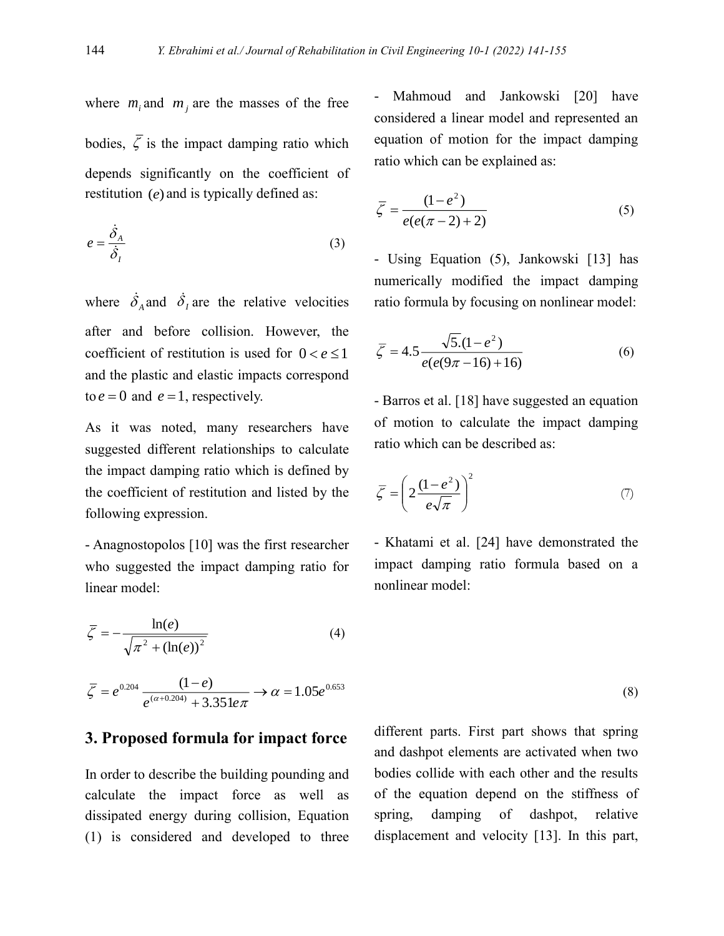where  $m_i$  and  $m_j$  are the masses of the free bodies,  $\zeta$  is the impact damping ratio which depends significantly on the coefficient of restitution (*e*) and is typically defined as:

$$
e = \frac{\dot{\delta}_A}{\dot{\delta}_I} \tag{3}
$$

where  $\dot{\delta}_A$  and  $\dot{\delta}_I$  are the relative velocities after and before collision. However, the coefficient of restitution is used for  $0 < e \le 1$ and the plastic and elastic impacts correspond to  $e = 0$  and  $e = 1$ , respectively.

As it was noted, many researchers have suggested different relationships to calculate the impact damping ratio which is defined by the coefficient of restitution and listed by the following expression.

- Anagnostopolos [10] was the first researcher who suggested the impact damping ratio for linear model:

$$
\overline{\zeta} = -\frac{\ln(e)}{\sqrt{\pi^2 + (\ln(e))^2}}
$$
(4)

$$
\overline{\zeta} = e^{0.204} \frac{(1-e)}{e^{(\alpha+0.204)} + 3.351e\pi} \rightarrow \alpha = 1.05e^{0.653}
$$

### **3. Proposed formula for impact force**

In order to describe the building pounding and calculate the impact force as well as dissipated energy during collision, Equation (1) is considered and developed to three

Mahmoud and Jankowski [20] have considered a linear model and represented an equation of motion for the impact damping ratio which can be explained as:

$$
\bar{\zeta} = \frac{(1 - e^2)}{e(e(\pi - 2) + 2)}
$$
(5)

- Using Equation (5), Jankowski [13] has numerically modified the impact damping ratio formula by focusing on nonlinear model:

$$
\overline{\zeta} = 4.5 \frac{\sqrt{5} \cdot (1 - e^2)}{e(e(9\pi - 16) + 16)}
$$
(6)

- Barros et al. [18] have suggested an equation of motion to calculate the impact damping ratio which can be described as:

$$
\overline{\zeta} = \left(2\frac{(1-e^2)}{e\sqrt{\pi}}\right)^2\tag{7}
$$

- Khatami et al. [24] have demonstrated the impact damping ratio formula based on a nonlinear model:

(8)

different parts. First part shows that spring and dashpot elements are activated when two bodies collide with each other and the results of the equation depend on the stiffness of spring, damping of dashpot, relative displacement and velocity [13]. In this part,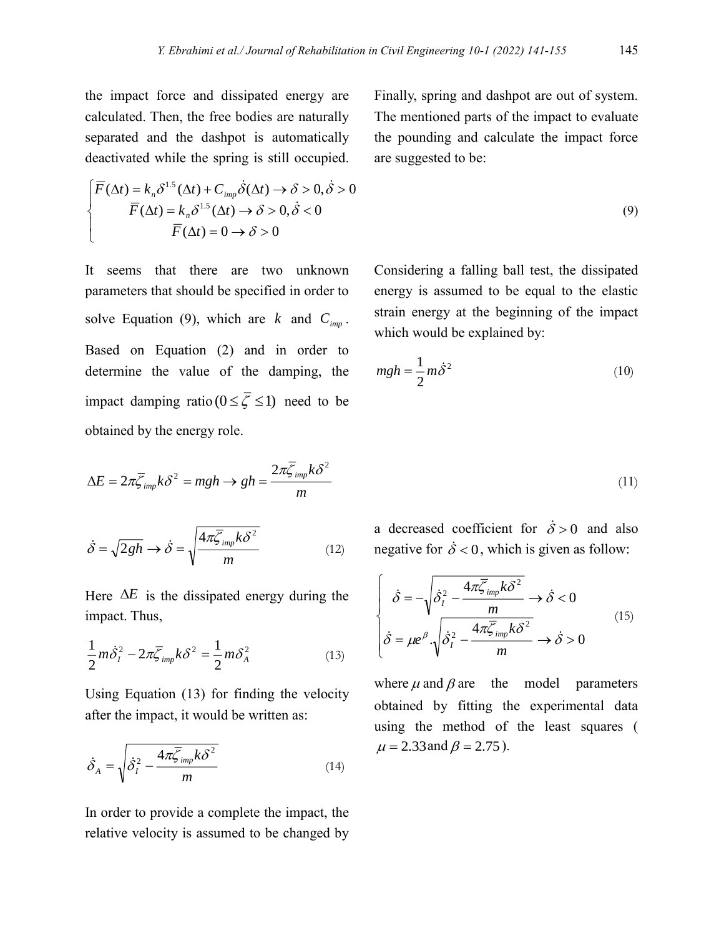the impact force and dissipated energy are calculated. Then, the free bodies are naturally separated and the dashpot is automatically deactivated while the spring is still occupied.

$$
\begin{cases}\n\overline{F}(\Delta t) = k_n \delta^{1.5}(\Delta t) + C_{imp} \dot{\delta}(\Delta t) \rightarrow \delta > 0, \dot{\delta} > 0 \\
\overline{F}(\Delta t) = k_n \delta^{1.5}(\Delta t) \rightarrow \delta > 0, \dot{\delta} < 0 \\
\overline{F}(\Delta t) = 0 \rightarrow \delta > 0\n\end{cases}
$$

It seems that there are two unknown parameters that should be specified in order to solve Equation (9), which are  $k$  and  $C_{imp}$ . Based on Equation (2) and in order to determine the value of the damping, the impact damping ratio ( $0 \le \zeta \le 1$ ) need to be obtained by the energy role.

$$
\Delta E = 2\pi \overline{\zeta}_{imp} k\delta^2 = mgh \rightarrow gh = \frac{2\pi \overline{\zeta}_{imp} k\delta^2}{m}
$$

$$
\dot{\delta} = \sqrt{2gh} \rightarrow \dot{\delta} = \sqrt{\frac{4\pi\bar{\zeta}_{\text{imp}}k\delta^2}{m}} \tag{12}
$$

Here  $\Delta E$  is the dissipated energy during the impact. Thus,

$$
\frac{1}{2}m\dot{\delta}_I^2 - 2\pi \overline{\zeta}_{imp}k\delta^2 = \frac{1}{2}m\delta_A^2\tag{13}
$$

Using Equation (13) for finding the velocity after the impact, it would be written as:

$$
\dot{\delta}_A = \sqrt{\dot{\delta}_I^2 - \frac{4\pi\overline{\zeta}_{imp}k\delta^2}{m}}\tag{14}
$$

In order to provide a complete the impact, the relative velocity is assumed to be changed by Finally, spring and dashpot are out of system. The mentioned parts of the impact to evaluate the pounding and calculate the impact force are suggested to be:

$$
^{(9)}
$$

(11)

Considering a falling ball test, the dissipated energy is assumed to be equal to the elastic strain energy at the beginning of the impact which would be explained by:

$$
mgh = \frac{1}{2}m\dot{\delta}^2\tag{10}
$$

a decreased coefficient for 
$$
\dot{\delta} > 0
$$
 and also

$$
\begin{cases}\n\dot{\delta} = -\sqrt{\dot{\delta}_I^2 - \frac{4\pi\bar{\zeta}_{imp}k\delta^2}{m}} \rightarrow \dot{\delta} < 0 \\
\dot{\delta} = \mu e^{\beta} \cdot \sqrt{\dot{\delta}_I^2 - \frac{4\pi\bar{\zeta}_{imp}k\delta^2}{m}} \rightarrow \dot{\delta} > 0\n\end{cases}
$$
\n(15)

negative for  $\dot{\delta} < 0$ , which is given as follow:

where  $\mu$  and  $\beta$  are the model parameters obtained by fitting the experimental data using the method of the least squares (  $\mu = 2.33$  and  $\beta = 2.75$ ).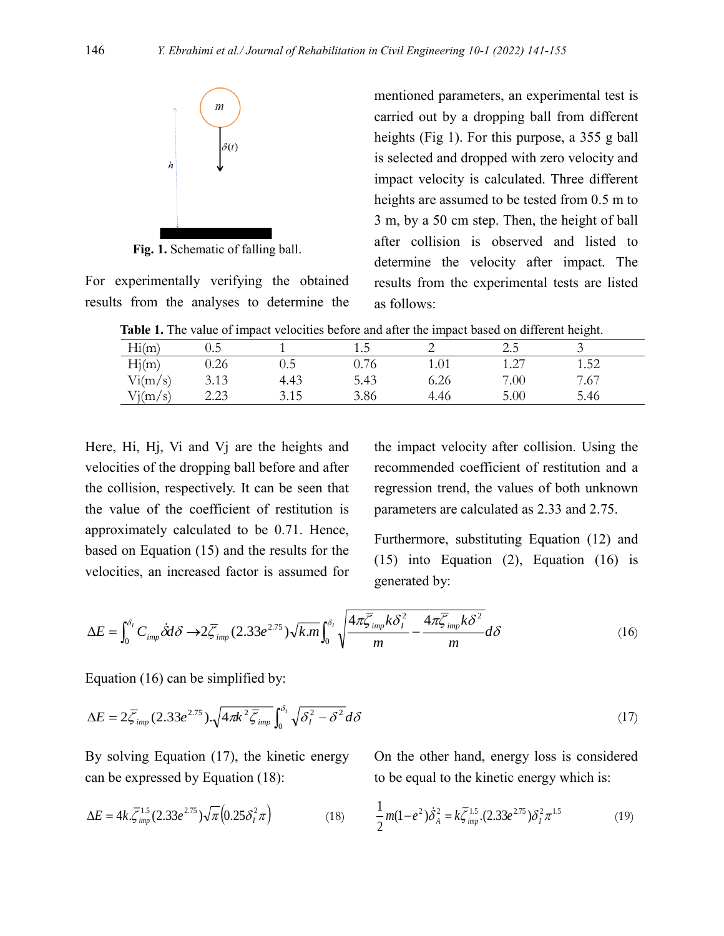

**Fig. 1.** Schematic of falling ball.

For experimentally verifying the obtained results from the analyses to determine the mentioned parameters, an experimental test is carried out by a dropping ball from different heights (Fig 1). For this purpose, a 355 g ball is selected and dropped with zero velocity and impact velocity is calculated. Three different heights are assumed to be tested from 0.5 m to 3 m, by a 50 cm step. Then, the height of ball after collision is observed and listed to determine the velocity after impact. The results from the experimental tests are listed as follows:

**Table 1.** The value of impact velocities before and after the impact based on different height.

|               |      |         |                                  |      |      | $\tilde{\phantom{a}}$ |  |
|---------------|------|---------|----------------------------------|------|------|-----------------------|--|
| Hi(m)         | 0.5  |         | ر. .                             | ∼    | 2.5  | $\checkmark$          |  |
| TT'/<br>Hj(m) | 0.26 | $0.5\,$ | $\overline{\phantom{0}}$<br>0.76 | 1.01 | 1.27 | 1.52                  |  |
| Vi(m/s)       | 3.13 | 4.43    | 5.43                             | э.26 | 7.00 | 7.67                  |  |
| $V_1(m/s)$    | 2.23 | 3.15    | 3.86                             | 4.46 | 5.00 | 5.46                  |  |
|               |      |         |                                  |      |      |                       |  |

Here, Hi, Hj, Vi and Vj are the heights and velocities of the dropping ball before and after the collision, respectively. It can be seen that the value of the coefficient of restitution is approximately calculated to be 0.71. Hence, based on Equation (15) and the results for the velocities, an increased factor is assumed for the impact velocity after collision. Using the recommended coefficient of restitution and a regression trend, the values of both unknown parameters are calculated as 2.33 and 2.75.

Furthermore, substituting Equation (12) and (15) into Equation (2), Equation (16) is generated by:

$$
\Delta E = \int_0^{\delta_l} C_{imp} \dot{\delta} d\delta \to 2 \overline{\zeta}_{imp} (2.33 e^{2.75}) \sqrt{k.m} \int_0^{\delta_l} \sqrt{\frac{4\pi \overline{\zeta}_{imp} k \delta_l^2}{m} - \frac{4\pi \overline{\zeta}_{imp} k \delta^2}{m}} d\delta \tag{16}
$$

Equation (16) can be simplified by:

$$
\Delta E = 2\overline{\zeta}_{imp} (2.33e^{2.75}) \cdot \sqrt{4\pi k^2 \overline{\zeta}_{imp}} \int_0^{\delta_l} \sqrt{\delta_l^2 - \delta^2} d\delta \tag{17}
$$

By solving Equation (17), the kinetic energy can be expressed by Equation (18):

$$
\Delta E = 4k.\overline{\xi}^{1.5}_{imp}(2.33e^{2.75})\sqrt{\pi}(0.25\delta_I^2\pi)
$$
 (18)

On the other hand, energy loss is considered to be equal to the kinetic energy which is:

$$
\frac{1}{2}m(1-e^2)\dot{\delta}_A^2 = k\bar{\zeta}_{imp}^{1.5} \cdot (2.33e^{2.75})\delta_I^2 \pi^{1.5}
$$
 (19)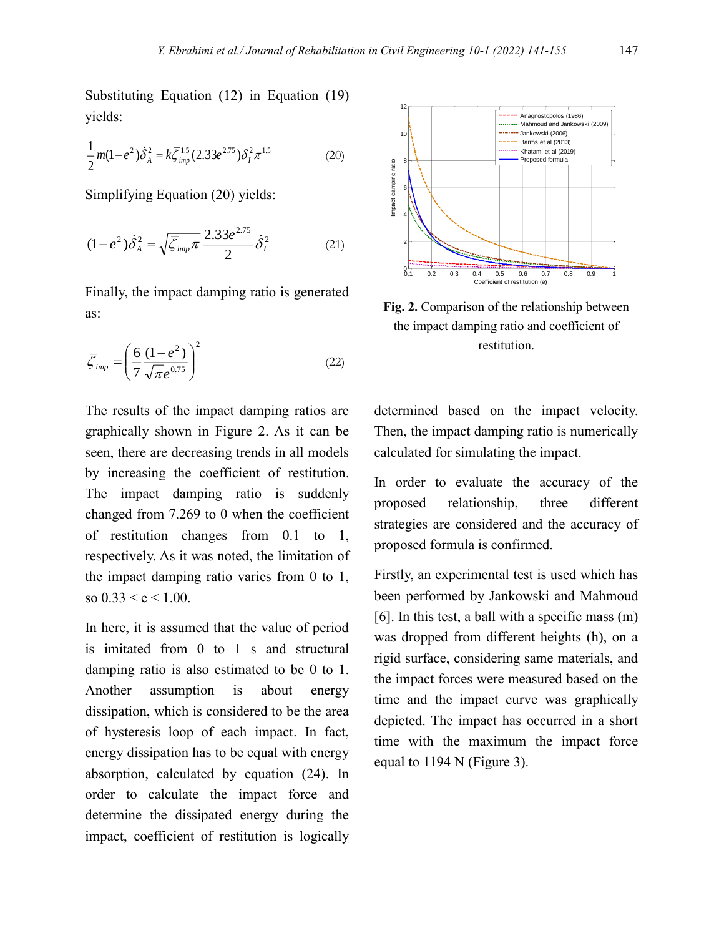Substituting Equation (12) in Equation (19) yields:

$$
\frac{1}{2}m(1-e^2)\dot{\delta}_A^2 = k\bar{\zeta}_{imp}^{1.5}(2.33e^{2.75})\delta_I^2 \pi^{1.5}
$$
 (20)

Simplifying Equation (20) yields:

$$
(1 - e^2)\dot{\delta}_A^2 = \sqrt{\bar{\zeta}_{imp}\pi} \frac{2.33e^{2.75}}{2} \dot{\delta}_I^2
$$
 (21)

Finally, the impact damping ratio is generated as:

$$
\overline{\zeta}_{imp} = \left(\frac{6}{7} \frac{(1 - e^2)}{\sqrt{\pi} e^{0.75}}\right)^2 \tag{22}
$$

The results of the impact damping ratios are graphically shown in Figure 2. As it can be seen, there are decreasing trends in all models by increasing the coefficient of restitution. The impact damping ratio is suddenly changed from 7.269 to 0 when the coefficient of restitution changes from 0.1 to 1, respectively. As it was noted, the limitation of the impact damping ratio varies from 0 to 1, so  $0.33 < e < 1.00$ .

In here, it is assumed that the value of period is imitated from 0 to 1 s and structural damping ratio is also estimated to be 0 to 1. Another assumption is about energy dissipation, which is considered to be the area of hysteresis loop of each impact. In fact, energy dissipation has to be equal with energy absorption, calculated by equation (24). In order to calculate the impact force and determine the dissipated energy during the impact, coefficient of restitution is logically



**Fig. 2.** Comparison of the relationship between the impact damping ratio and coefficient of restitution.

determined based on the impact velocity. Then, the impact damping ratio is numerically calculated for simulating the impact.

In order to evaluate the accuracy of the proposed relationship, three different strategies are considered and the accuracy of proposed formula is confirmed.

Firstly, an experimental test is used which has been performed by Jankowski and Mahmoud [6]. In this test, a ball with a specific mass (m) was dropped from different heights (h), on a rigid surface, considering same materials, and the impact forces were measured based on the time and the impact curve was graphically depicted. The impact has occurred in a short time with the maximum the impact force equal to 1194 N (Figure 3).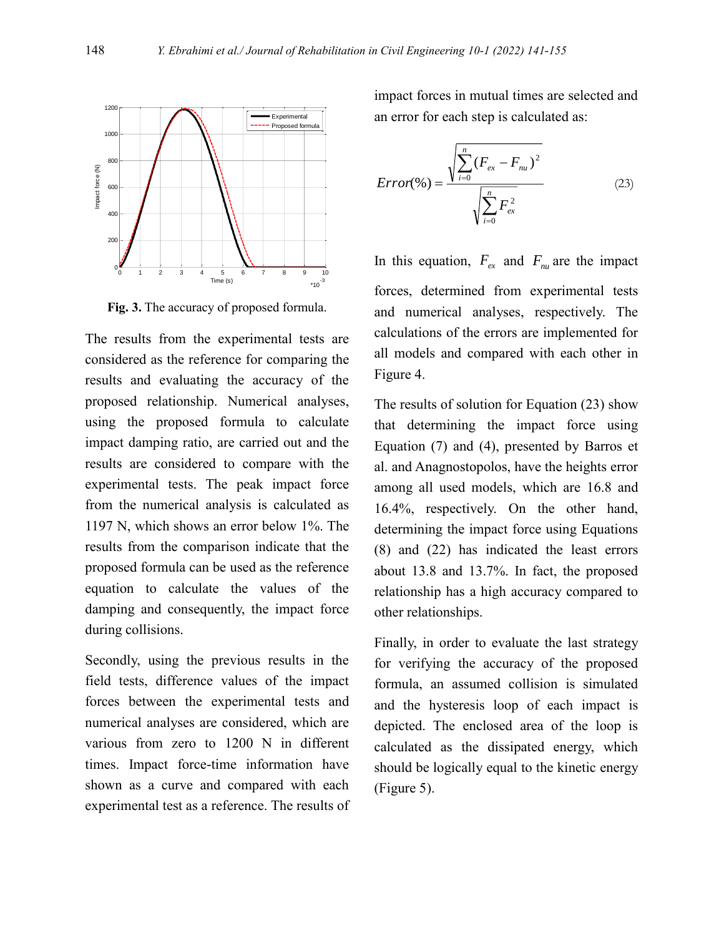

**Fig. 3.** The accuracy of proposed formula.

The results from the experimental tests are considered as the reference for comparing the results and evaluating the accuracy of the proposed relationship. Numerical analyses, using the proposed formula to calculate impact damping ratio, are carried out and the results are considered to compare with the experimental tests. The peak impact force from the numerical analysis is calculated as 1197 N, which shows an error below 1%. The results from the comparison indicate that the proposed formula can be used as the reference equation to calculate the values of the damping and consequently, the impact force during collisions.

Secondly, using the previous results in the field tests, difference values of the impact forces between the experimental tests and numerical analyses are considered, which are various from zero to 1200 N in different times. Impact force-time information have shown as a curve and compared with each experimental test as a reference. The results of impact forces in mutual times are selected and an error for each step is calculated as:

$$
Error(\%) = \frac{\sqrt{\sum_{i=0}^{n} (F_{ex} - F_{nu})^2}}{\sqrt{\sum_{i=0}^{n} F_{ex}^2}}
$$
(23)

In this equation,  $F_{ex}$  and  $F_{nu}$  are the impact forces, determined from experimental tests and numerical analyses, respectively. The calculations of the errors are implemented for all models and compared with each other in Figure 4.

The results of solution for Equation (23) show that determining the impact force using Equation (7) and (4), presented by Barros et al. and Anagnostopolos, have the heights error among all used models, which are 16.8 and 16.4%, respectively. On the other hand, determining the impact force using Equations (8) and (22) has indicated the least errors about 13.8 and 13.7%. In fact, the proposed relationship has a high accuracy compared to other relationships.

Finally, in order to evaluate the last strategy for verifying the accuracy of the proposed formula, an assumed collision is simulated and the hysteresis loop of each impact is depicted. The enclosed area of the loop is calculated as the dissipated energy, which should be logically equal to the kinetic energy (Figure 5).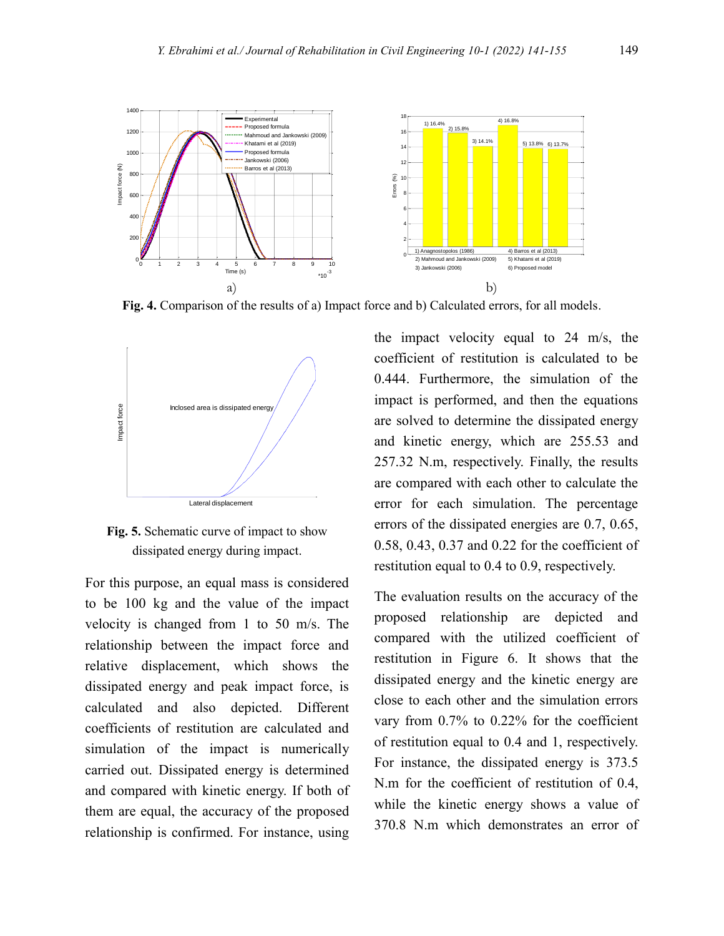

**Fig. 4.** Comparison of the results of a) Impact force and b) Calculated errors, for all models.



**Fig. 5.** Schematic curve of impact to show dissipated energy during impact.

For this purpose, an equal mass is considered to be 100 kg and the value of the impact velocity is changed from 1 to 50 m/s. The relationship between the impact force and relative displacement, which shows the dissipated energy and peak impact force, is calculated and also depicted. Different coefficients of restitution are calculated and simulation of the impact is numerically carried out. Dissipated energy is determined and compared with kinetic energy. If both of them are equal, the accuracy of the proposed relationship is confirmed. For instance, using

the impact velocity equal to 24 m/s, the coefficient of restitution is calculated to be 0.444. Furthermore, the simulation of the impact is performed, and then the equations are solved to determine the dissipated energy and kinetic energy, which are 255.53 and 257.32 N.m, respectively. Finally, the results are compared with each other to calculate the error for each simulation. The percentage errors of the dissipated energies are 0.7, 0.65, 0.58, 0.43, 0.37 and 0.22 for the coefficient of restitution equal to 0.4 to 0.9, respectively.

The evaluation results on the accuracy of the proposed relationship are depicted and compared with the utilized coefficient of restitution in Figure 6. It shows that the dissipated energy and the kinetic energy are close to each other and the simulation errors vary from 0.7% to 0.22% for the coefficient of restitution equal to 0.4 and 1, respectively. For instance, the dissipated energy is 373.5 N.m for the coefficient of restitution of 0.4, while the kinetic energy shows a value of 370.8 N.m which demonstrates an error of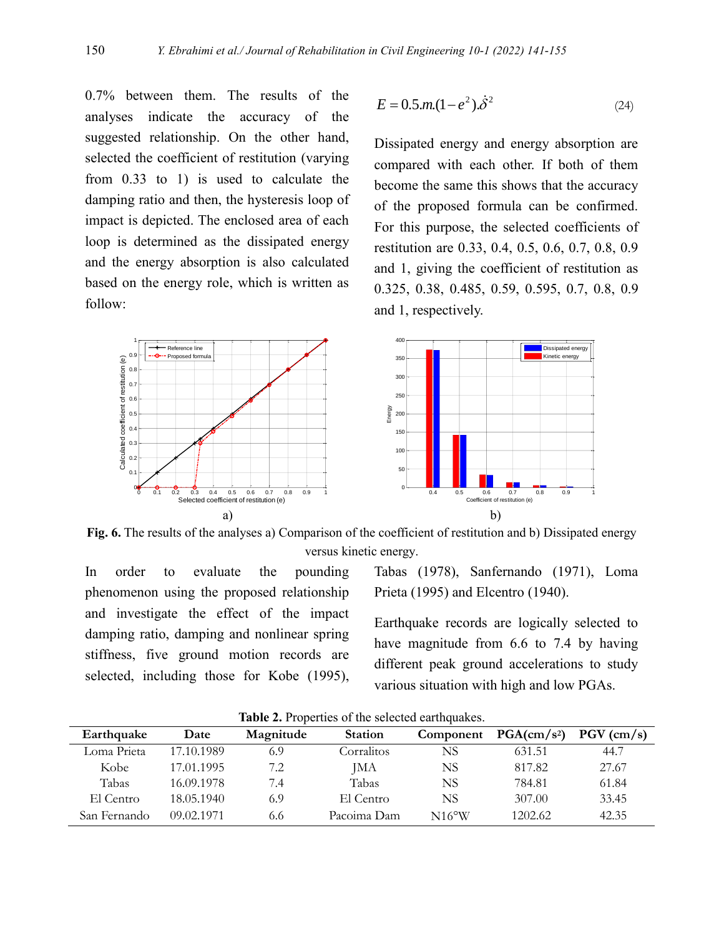0.7% between them. The results of the analyses indicate the accuracy of the suggested relationship. On the other hand, selected the coefficient of restitution (varying from 0.33 to 1) is used to calculate the damping ratio and then, the hysteresis loop of impact is depicted. The enclosed area of each loop is determined as the dissipated energy and the energy absorption is also calculated based on the energy role, which is written as follow:

$$
E = 0.5 \, m. (1 - e^2). \dot{\delta}^2 \tag{24}
$$

Dissipated energy and energy absorption are compared with each other. If both of them become the same this shows that the accuracy of the proposed formula can be confirmed. For this purpose, the selected coefficients of restitution are 0.33, 0.4, 0.5, 0.6, 0.7, 0.8, 0.9 and 1, giving the coefficient of restitution as 0.325, 0.38, 0.485, 0.59, 0.595, 0.7, 0.8, 0.9 and 1, respectively.



**Fig. 6.** The results of the analyses a) Comparison of the coefficient of restitution and b) Dissipated energy versus kinetic energy.

In order to evaluate the pounding phenomenon using the proposed relationship and investigate the effect of the impact damping ratio, damping and nonlinear spring stiffness, five ground motion records are selected, including those for Kobe (1995), Tabas (1978), Sanfernando (1971), Loma Prieta (1995) and Elcentro (1940).

Earthquake records are logically selected to have magnitude from 6.6 to 7.4 by having different peak ground accelerations to study various situation with high and low PGAs.

| Earthquake   | Date       | Magnitude | <b>Station</b> | Component       | PGA(cm/s <sup>2</sup> ) | $PGV$ (cm/s) |
|--------------|------------|-----------|----------------|-----------------|-------------------------|--------------|
| Loma Prieta  | 17.10.1989 | 6.9       | Corralitos     | NS              | 631.51                  | 44.7         |
| Kobe         | 17.01.1995 | 7.2       | JМA            | NS              | 817.82                  | 27.67        |
| Tabas        | 16.09.1978 | 7.4       | Tabas          | NS              | 784.81                  | 61.84        |
| El Centro    | 18.05.1940 | 6.9       | El Centro      | NS              | 307.00                  | 33.45        |
| San Fernando | 09.02.1971 | 6.6       | Pacoima Dam    | $N16^{\circ}$ W | 1202.62                 | 42.35        |

**Table 2.** Properties of the selected earthquakes.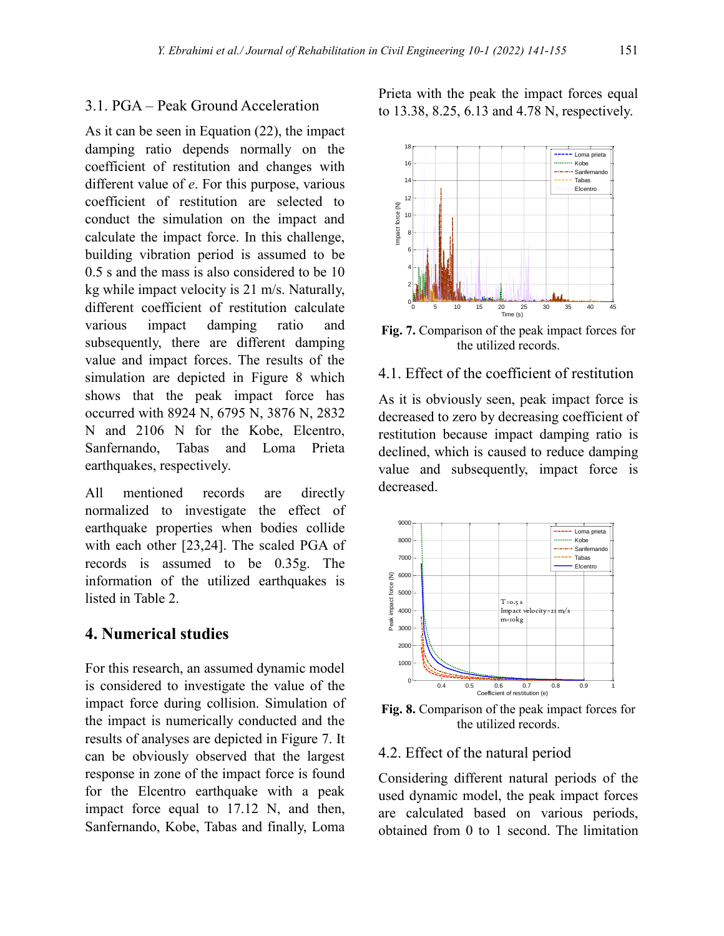#### 3.1. PGA – Peak Ground Acceleration

As it can be seen in Equation (22), the impact damping ratio depends normally on the coefficient of restitution and changes with different value of *e*. For this purpose, various coefficient of restitution are selected to conduct the simulation on the impact and calculate the impact force. In this challenge, building vibration period is assumed to be 0.5 s and the mass is also considered to be 10 kg while impact velocity is 21 m/s. Naturally, different coefficient of restitution calculate various impact damping ratio and subsequently, there are different damping value and impact forces. The results of the simulation are depicted in Figure 8 which shows that the peak impact force has occurred with 8924 N, 6795 N, 3876 N, 2832 N and 2106 N for the Kobe, Elcentro, Sanfernando, Tabas and Loma Prieta earthquakes, respectively.

All mentioned records are directly normalized to investigate the effect of earthquake properties when bodies collide with each other [23,24]. The scaled PGA of records is assumed to be 0.35g. The information of the utilized earthquakes is listed in Table 2.

# **4. Numerical studies**

For this research, an assumed dynamic model is considered to investigate the value of the impact force during collision. Simulation of the impact is numerically conducted and the results of analyses are depicted in Figure 7. It can be obviously observed that the largest response in zone of the impact force is found for the Elcentro earthquake with a peak impact force equal to 17.12 N, and then, Sanfernando, Kobe, Tabas and finally, Loma Prieta with the peak the impact forces equal to 13.38, 8.25, 6.13 and 4.78 N, respectively.



**Fig. 7.** Comparison of the peak impact forces for the utilized records.

# 4.1. Effect of the coefficient of restitution

As it is obviously seen, peak impact force is decreased to zero by decreasing coefficient of restitution because impact damping ratio is declined, which is caused to reduce damping value and subsequently, impact force is decreased.



**Fig. 8.** Comparison of the peak impact forces for the utilized records.

#### 4.2. Effect of the natural period

Considering different natural periods of the used dynamic model, the peak impact forces are calculated based on various periods, obtained from 0 to 1 second. The limitation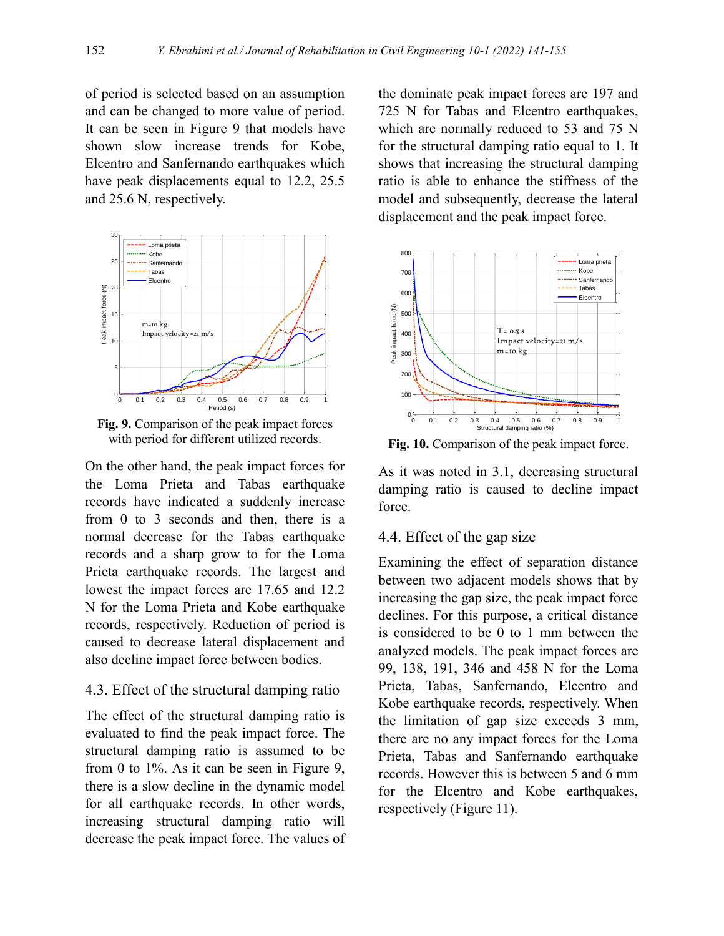of period is selected based on an assumption and can be changed to more value of period. It can be seen in Figure 9 that models have shown slow increase trends for Kobe, Elcentro and Sanfernando earthquakes which have peak displacements equal to 12.2, 25.5 and 25.6 N, respectively.



**Fig. 9.** Comparison of the peak impact forces with period for different utilized records.

On the other hand, the peak impact forces for the Loma Prieta and Tabas earthquake records have indicated a suddenly increase from 0 to 3 seconds and then, there is a normal decrease for the Tabas earthquake records and a sharp grow to for the Loma Prieta earthquake records. The largest and lowest the impact forces are 17.65 and 12.2 N for the Loma Prieta and Kobe earthquake records, respectively. Reduction of period is caused to decrease lateral displacement and also decline impact force between bodies.

# 4.3. Effect of the structural damping ratio

The effect of the structural damping ratio is evaluated to find the peak impact force. The structural damping ratio is assumed to be from 0 to 1%. As it can be seen in Figure 9, there is a slow decline in the dynamic model for all earthquake records. In other words, increasing structural damping ratio will decrease the peak impact force. The values of

the dominate peak impact forces are 197 and 725 N for Tabas and Elcentro earthquakes, which are normally reduced to 53 and 75 N for the structural damping ratio equal to 1. It shows that increasing the structural damping ratio is able to enhance the stiffness of the model and subsequently, decrease the lateral displacement and the peak impact force.



**Fig. 10.** Comparison of the peak impact force.

As it was noted in 3.1, decreasing structural damping ratio is caused to decline impact force.

# 4.4. Effect of the gap size

Examining the effect of separation distance between two adjacent models shows that by increasing the gap size, the peak impact force declines. For this purpose, a critical distance is considered to be 0 to 1 mm between the analyzed models. The peak impact forces are 99, 138, 191, 346 and 458 N for the Loma Prieta, Tabas, Sanfernando, Elcentro and Kobe earthquake records, respectively. When the limitation of gap size exceeds 3 mm, there are no any impact forces for the Loma Prieta. Tabas and Sanfernando earthquake records. However this is between 5 and 6 mm for the Elcentro and Kobe earthquakes, respectively (Figure 11).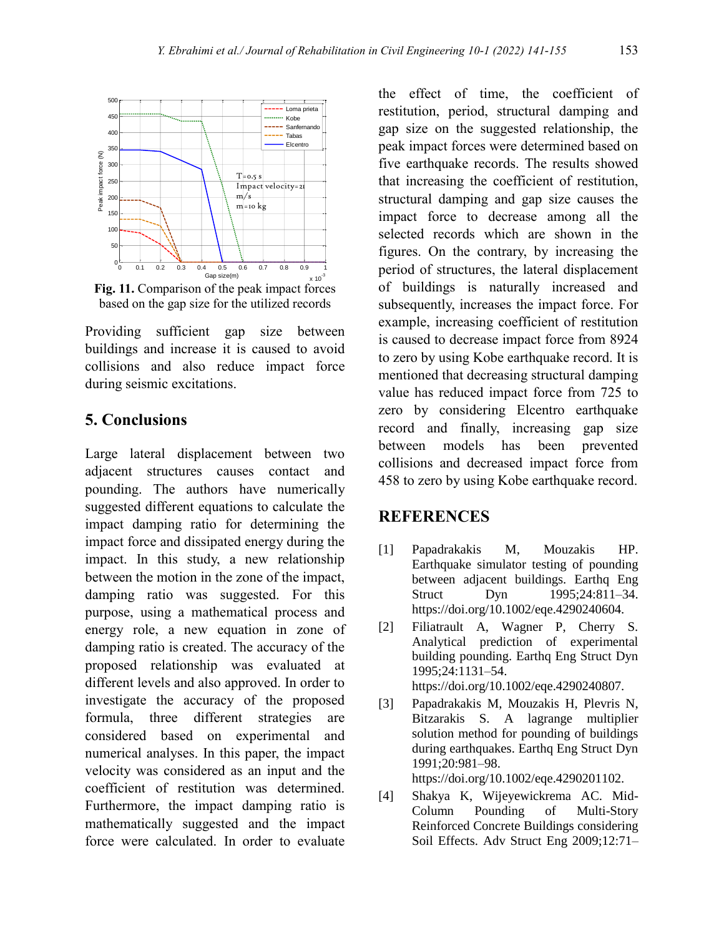

**Fig. 11.** Comparison of the peak impact forces based on the gap size for the utilized records

Providing sufficient gap size between buildings and increase it is caused to avoid collisions and also reduce impact force during seismic excitations.

# **5. Conclusions**

Large lateral displacement between two adjacent structures causes contact and pounding. The authors have numerically suggested different equations to calculate the impact damping ratio for determining the impact force and dissipated energy during the impact. In this study, a new relationship between the motion in the zone of the impact, damping ratio was suggested. For this purpose, using a mathematical process and energy role, a new equation in zone of damping ratio is created. The accuracy of the proposed relationship was evaluated at different levels and also approved. In order to investigate the accuracy of the proposed formula, three different strategies are considered based on experimental and numerical analyses. In this paper, the impact velocity was considered as an input and the coefficient of restitution was determined. Furthermore, the impact damping ratio is mathematically suggested and the impact force were calculated. In order to evaluate

the effect of time, the coefficient of restitution, period, structural damping and gap size on the suggested relationship, the peak impact forces were determined based on five earthquake records. The results showed that increasing the coefficient of restitution, structural damping and gap size causes the impact force to decrease among all the selected records which are shown in the figures. On the contrary, by increasing the period of structures, the lateral displacement of buildings is naturally increased and subsequently, increases the impact force. For example, increasing coefficient of restitution is caused to decrease impact force from 8924 to zero by using Kobe earthquake record. It is mentioned that decreasing structural damping value has reduced impact force from 725 to zero by considering Elcentro earthquake record and finally, increasing gap size between models has been prevented collisions and decreased impact force from 458 to zero by using Kobe earthquake record.

# **REFERENCES**

- [1] Papadrakakis M, Mouzakis HP. Earthquake simulator testing of pounding between adjacent buildings. Earthq Eng Struct Dyn 1995;24:811–34. https://doi.org/10.1002/eqe.4290240604.
- [2] Filiatrault A, Wagner P, Cherry S. Analytical prediction of experimental building pounding. Earthq Eng Struct Dyn 1995;24:1131–54. https://doi.org/10.1002/eqe.4290240807.
- [3] Papadrakakis M, Mouzakis H, Plevris N, Bitzarakis S. A lagrange multiplier solution method for pounding of buildings during earthquakes. Earthq Eng Struct Dyn 1991;20:981–98.

https://doi.org/10.1002/eqe.4290201102.

[4] Shakya K, Wijeyewickrema AC. Mid-Column Pounding of Multi-Story Reinforced Concrete Buildings considering Soil Effects. Adv Struct Eng 2009;12:71–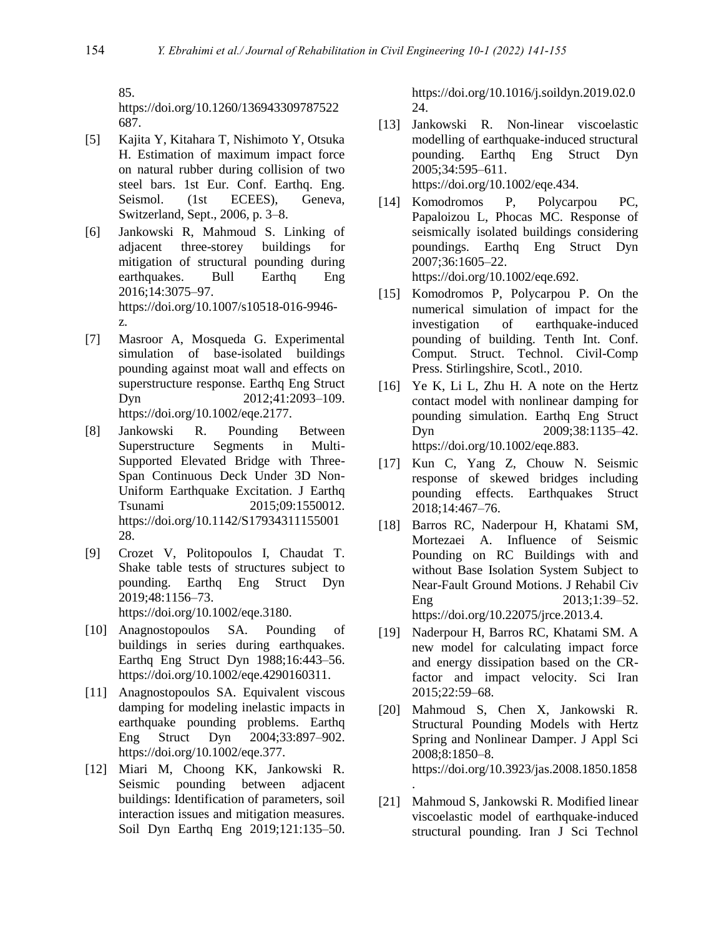85.

https://doi.org/10.1260/136943309787522 687.

- [5] Kajita Y, Kitahara T, Nishimoto Y, Otsuka H. Estimation of maximum impact force on natural rubber during collision of two steel bars. 1st Eur. Conf. Earthq. Eng. Seismol. (1st ECEES), Geneva, Switzerland, Sept., 2006, p. 3–8.
- [6] Jankowski R, Mahmoud S. Linking of adjacent three-storey buildings for mitigation of structural pounding during earthquakes. Bull Earthq Eng 2016;14:3075–97. https://doi.org/10.1007/s10518-016-9946 z.
- [7] Masroor A, Mosqueda G. Experimental simulation of base-isolated buildings pounding against moat wall and effects on superstructure response. Earthq Eng Struct Dyn 2012;41:2093-109. https://doi.org/10.1002/eqe.2177.
- [8] Jankowski R. Pounding Between Superstructure Segments in Multi-Supported Elevated Bridge with Three-Span Continuous Deck Under 3D Non-Uniform Earthquake Excitation. J Earthq Tsunami 2015;09:1550012. https://doi.org/10.1142/S17934311155001 28.
- [9] Crozet V, Politopoulos I, Chaudat T. Shake table tests of structures subject to pounding. Earthq Eng Struct Dyn 2019;48:1156–73. https://doi.org/10.1002/eqe.3180.
- [10] Anagnostopoulos SA. Pounding of buildings in series during earthquakes. Earthq Eng Struct Dyn 1988;16:443–56. https://doi.org/10.1002/eqe.4290160311.
- [11] Anagnostopoulos SA. Equivalent viscous damping for modeling inelastic impacts in earthquake pounding problems. Earthq Eng Struct Dyn 2004;33:897–902. https://doi.org/10.1002/eqe.377.
- [12] Miari M, Choong KK, Jankowski R. Seismic pounding between adjacent buildings: Identification of parameters, soil interaction issues and mitigation measures. Soil Dyn Earthq Eng 2019;121:135–50.

https://doi.org/10.1016/j.soildyn.2019.02.0 24.

- [13] Jankowski R. Non-linear viscoelastic modelling of earthquake-induced structural pounding. Earthq Eng Struct Dyn 2005;34:595–611. https://doi.org/10.1002/eqe.434.
- [14] Komodromos P, Polycarpou PC, Papaloizou L, Phocas MC. Response of seismically isolated buildings considering poundings. Earthq Eng Struct Dyn 2007;36:1605–22. https://doi.org/10.1002/eqe.692.
- [15] Komodromos P, Polycarpou P. On the numerical simulation of impact for the investigation of earthquake-induced pounding of building. Tenth Int. Conf. Comput. Struct. Technol. Civil-Comp Press. Stirlingshire, Scotl., 2010.
- [16] Ye K, Li L, Zhu H. A note on the Hertz contact model with nonlinear damping for pounding simulation. Earthq Eng Struct Dyn 2009:38:1135–42. https://doi.org/10.1002/eqe.883.
- [17] Kun C, Yang Z, Chouw N. Seismic response of skewed bridges including pounding effects. Earthquakes Struct 2018;14:467–76.
- [18] Barros RC, Naderpour H, Khatami SM, Mortezaei A. Influence of Seismic Pounding on RC Buildings with and without Base Isolation System Subject to Near-Fault Ground Motions. J Rehabil Civ Eng 2013:1:39–52. https://doi.org/10.22075/jrce.2013.4.
- [19] Naderpour H, Barros RC, Khatami SM. A new model for calculating impact force and energy dissipation based on the CRfactor and impact velocity. Sci Iran 2015;22:59–68.
- [20] Mahmoud S, Chen X, Jankowski R. Structural Pounding Models with Hertz Spring and Nonlinear Damper. J Appl Sci 2008;8:1850–8. https://doi.org/10.3923/jas.2008.1850.1858
- [21] Mahmoud S, Jankowski R. Modified linear viscoelastic model of earthquake-induced structural pounding. Iran J Sci Technol

.